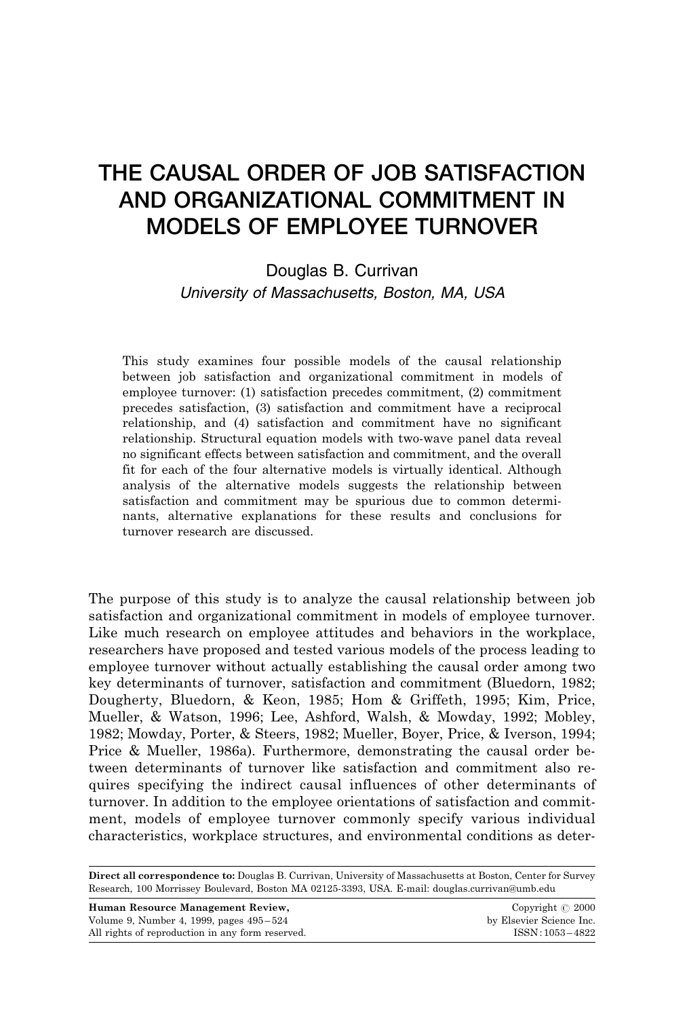## THE CAUSAL ORDER OF JOB SATISFACTION AND ORGANIZATIONAL COMMITMENT IN MODELS OF EMPLOYEE TURNOVER

Douglas B. Currivan University of Massachusetts, Boston, MA, USA

This study examines four possible models of the causal relationship between job satisfaction and organizational commitment in models of employee turnover: (1) satisfaction precedes commitment, (2) commitment precedes satisfaction, (3) satisfaction and commitment have a reciprocal relationship, and (4) satisfaction and commitment have no significant relationship. Structural equation models with two-wave panel data reveal no significant effects between satisfaction and commitment, and the overall fit for each of the four alternative models is virtually identical. Although analysis of the alternative models suggests the relationship between satisfaction and commitment may be spurious due to common determinants, alternative explanations for these results and conclusions for turnover research are discussed.

The purpose of this study is to analyze the causal relationship between job satisfaction and organizational commitment in models of employee turnover. Like much research on employee attitudes and behaviors in the workplace, researchers have proposed and tested various models of the process leading to employee turnover without actually establishing the causal order among two key determinants of turnover, satisfaction and commitment (Bluedorn, 1982; Dougherty, Bluedorn, & Keon, 1985; Hom & Griffeth, 1995; Kim, Price, Mueller, & Watson, 1996; Lee, Ashford, Walsh, & Mowday, 1992; Mobley, 1982; Mowday, Porter, & Steers, 1982; Mueller, Boyer, Price, & Iverson, 1994; Price & Mueller, 1986a). Furthermore, demonstrating the causal order between determinants of turnover like satisfaction and commitment also requires specifying the indirect causal influences of other determinants of turnover. In addition to the employee orientations of satisfaction and commitment, models of employee turnover commonly specify various individual characteristics, workplace structures, and environmental conditions as deter-

Direct all correspondence to: Douglas B. Currivan, University of Massachusetts at Boston, Center for Survey Research, 100 Morrissey Boulevard, Boston MA 02125-3393, USA. E-mail: douglas.currivan@umb.edu

| Human Resource Management Review.                | Copyright $\odot$ 2000   |
|--------------------------------------------------|--------------------------|
| Volume 9, Number 4, 1999, pages 495–524          | by Elsevier Science Inc. |
| All rights of reproduction in any form reserved. | $ISSN:1053-4822$         |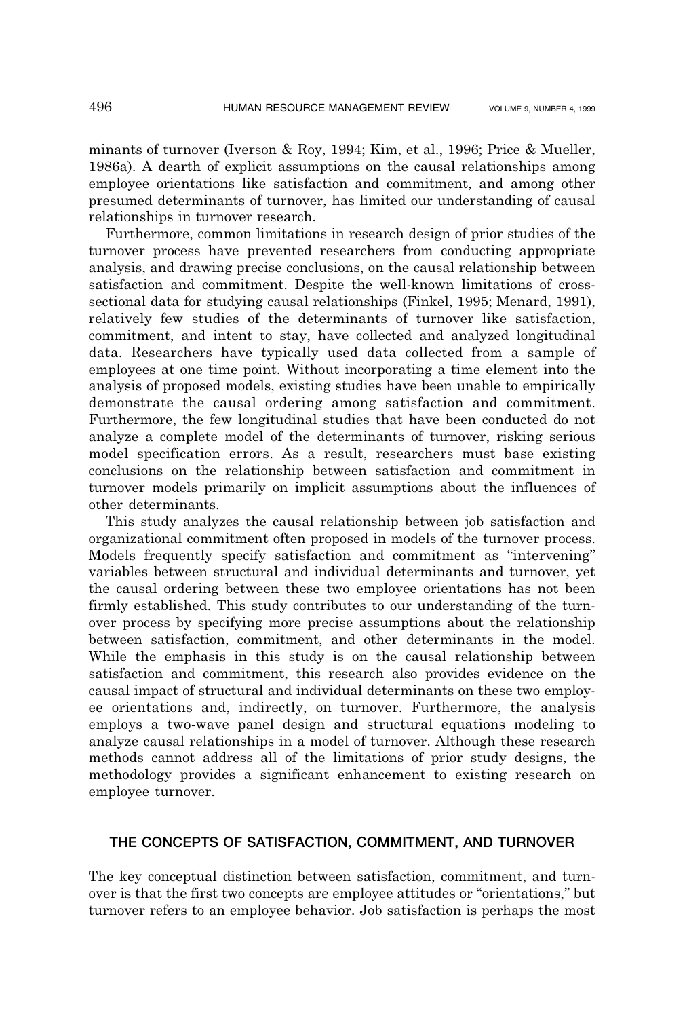minants of turnover (Iverson & Roy, 1994; Kim, et al., 1996; Price & Mueller, 1986a). A dearth of explicit assumptions on the causal relationships among employee orientations like satisfaction and commitment, and among other presumed determinants of turnover, has limited our understanding of causal relationships in turnover research.

Furthermore, common limitations in research design of prior studies of the turnover process have prevented researchers from conducting appropriate analysis, and drawing precise conclusions, on the causal relationship between satisfaction and commitment. Despite the well-known limitations of crosssectional data for studying causal relationships (Finkel, 1995; Menard, 1991), relatively few studies of the determinants of turnover like satisfaction, commitment, and intent to stay, have collected and analyzed longitudinal data. Researchers have typically used data collected from a sample of employees at one time point. Without incorporating a time element into the analysis of proposed models, existing studies have been unable to empirically demonstrate the causal ordering among satisfaction and commitment. Furthermore, the few longitudinal studies that have been conducted do not analyze a complete model of the determinants of turnover, risking serious model specification errors. As a result, researchers must base existing conclusions on the relationship between satisfaction and commitment in turnover models primarily on implicit assumptions about the influences of other determinants.

This study analyzes the causal relationship between job satisfaction and organizational commitment often proposed in models of the turnover process. Models frequently specify satisfaction and commitment as "intervening" variables between structural and individual determinants and turnover, yet the causal ordering between these two employee orientations has not been firmly established. This study contributes to our understanding of the turnover process by specifying more precise assumptions about the relationship between satisfaction, commitment, and other determinants in the model. While the emphasis in this study is on the causal relationship between satisfaction and commitment, this research also provides evidence on the causal impact of structural and individual determinants on these two employee orientations and, indirectly, on turnover. Furthermore, the analysis employs a two-wave panel design and structural equations modeling to analyze causal relationships in a model of turnover. Although these research methods cannot address all of the limitations of prior study designs, the methodology provides a significant enhancement to existing research on employee turnover.

## THE CONCEPTS OF SATISFACTION, COMMITMENT, AND TURNOVER

The key conceptual distinction between satisfaction, commitment, and turnover is that the first two concepts are employee attitudes or "orientations," but turnover refers to an employee behavior. Job satisfaction is perhaps the most